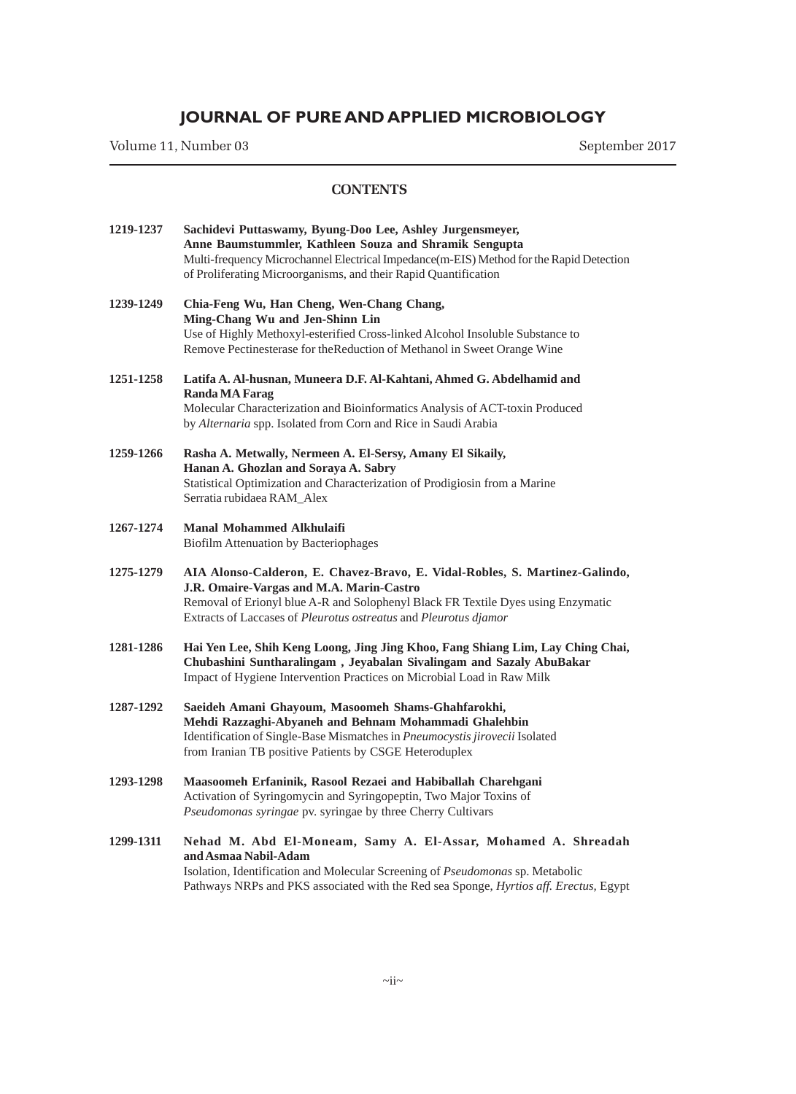Volume 11, Number 03 September 2017

| 1219-1237 | Sachidevi Puttaswamy, Byung-Doo Lee, Ashley Jurgensmeyer,<br>Anne Baumstummler, Kathleen Souza and Shramik Sengupta<br>Multi-frequency Microchannel Electrical Impedance(m-EIS) Method for the Rapid Detection<br>of Proliferating Microorganisms, and their Rapid Quantification |
|-----------|-----------------------------------------------------------------------------------------------------------------------------------------------------------------------------------------------------------------------------------------------------------------------------------|
| 1239-1249 | Chia-Feng Wu, Han Cheng, Wen-Chang Chang,<br>Ming-Chang Wu and Jen-Shinn Lin<br>Use of Highly Methoxyl-esterified Cross-linked Alcohol Insoluble Substance to<br>Remove Pectinesterase for the Reduction of Methanol in Sweet Orange Wine                                         |
| 1251-1258 | Latifa A. Al-husnan, Muneera D.F. Al-Kahtani, Ahmed G. Abdelhamid and<br><b>Randa MA Farag</b><br>Molecular Characterization and Bioinformatics Analysis of ACT-toxin Produced<br>by Alternaria spp. Isolated from Corn and Rice in Saudi Arabia                                  |
| 1259-1266 | Rasha A. Metwally, Nermeen A. El-Sersy, Amany El Sikaily,<br>Hanan A. Ghozlan and Soraya A. Sabry<br>Statistical Optimization and Characterization of Prodigiosin from a Marine<br>Serratia rubidaea RAM_Alex                                                                     |
| 1267-1274 | <b>Manal Mohammed Alkhulaifi</b><br><b>Biofilm Attenuation by Bacteriophages</b>                                                                                                                                                                                                  |
| 1275-1279 | AIA Alonso-Calderon, E. Chavez-Bravo, E. Vidal-Robles, S. Martinez-Galindo,<br>J.R. Omaire-Vargas and M.A. Marin-Castro<br>Removal of Erionyl blue A-R and Solophenyl Black FR Textile Dyes using Enzymatic<br>Extracts of Laccases of Pleurotus ostreatus and Pleurotus djamor   |
| 1281-1286 | Hai Yen Lee, Shih Keng Loong, Jing Jing Khoo, Fang Shiang Lim, Lay Ching Chai,<br>Chubashini Suntharalingam, Jeyabalan Sivalingam and Sazaly AbuBakar<br>Impact of Hygiene Intervention Practices on Microbial Load in Raw Milk                                                   |
| 1287-1292 | Saeideh Amani Ghayoum, Masoomeh Shams-Ghahfarokhi,<br>Mehdi Razzaghi-Abyaneh and Behnam Mohammadi Ghalehbin<br>Identification of Single-Base Mismatches in Pneumocystis jirovecii Isolated<br>from Iranian TB positive Patients by CSGE Heteroduplex                              |
| 1293-1298 | Maasoomeh Erfaninik, Rasool Rezaei and Habiballah Charehgani<br>Activation of Syringomycin and Syringopeptin, Two Major Toxins of<br>Pseudomonas syringae pv. syringae by three Cherry Cultivars                                                                                  |
| 1299-1311 | Nehad M. Abd El-Moneam, Samy A. El-Assar, Mohamed A. Shreadah<br>and Asmaa Nabil-Adam<br>Isolation, Identification and Molecular Screening of Pseudomonas sp. Metabolic<br>Pathways NRPs and PKS associated with the Red sea Sponge, Hyrtios aff. Erectus, Egypt                  |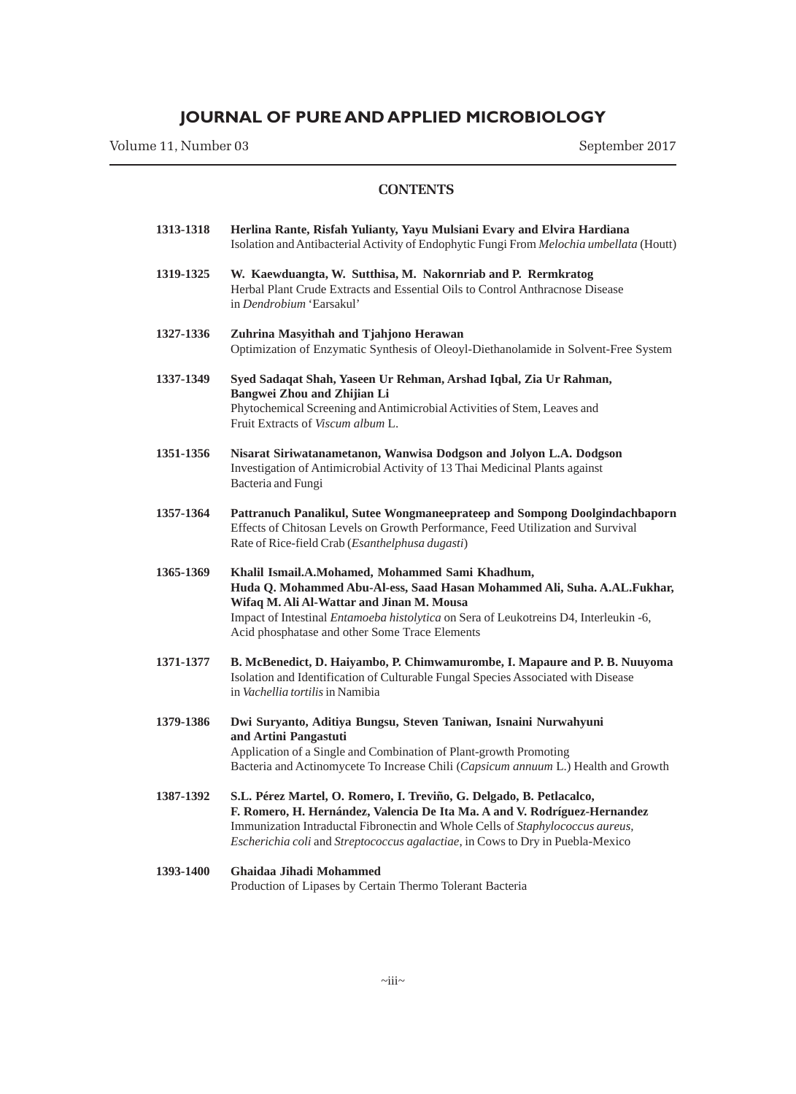Volume 11, Number 03 September 2017

| 1313-1318 | Herlina Rante, Risfah Yulianty, Yayu Mulsiani Evary and Elvira Hardiana<br>Isolation and Antibacterial Activity of Endophytic Fungi From Melochia umbellata (Houtt)                                                                                                                                                   |
|-----------|-----------------------------------------------------------------------------------------------------------------------------------------------------------------------------------------------------------------------------------------------------------------------------------------------------------------------|
| 1319-1325 | W. Kaewduangta, W. Sutthisa, M. Nakornriab and P. Rermkratog<br>Herbal Plant Crude Extracts and Essential Oils to Control Anthracnose Disease<br>in Dendrobium 'Earsakul'                                                                                                                                             |
| 1327-1336 | Zuhrina Masyithah and Tjahjono Herawan<br>Optimization of Enzymatic Synthesis of Oleoyl-Diethanolamide in Solvent-Free System                                                                                                                                                                                         |
| 1337-1349 | Syed Sadaqat Shah, Yaseen Ur Rehman, Arshad Iqbal, Zia Ur Rahman,<br>Bangwei Zhou and Zhijian Li<br>Phytochemical Screening and Antimicrobial Activities of Stem, Leaves and<br>Fruit Extracts of Viscum album L.                                                                                                     |
| 1351-1356 | Nisarat Siriwatanametanon, Wanwisa Dodgson and Jolyon L.A. Dodgson<br>Investigation of Antimicrobial Activity of 13 Thai Medicinal Plants against<br>Bacteria and Fungi                                                                                                                                               |
| 1357-1364 | Pattranuch Panalikul, Sutee Wongmaneeprateep and Sompong Doolgindachbaporn<br>Effects of Chitosan Levels on Growth Performance, Feed Utilization and Survival<br>Rate of Rice-field Crab (Esanthelphusa dugasti)                                                                                                      |
| 1365-1369 | Khalil Ismail.A.Mohamed, Mohammed Sami Khadhum,<br>Huda Q. Mohammed Abu-Al-ess, Saad Hasan Mohammed Ali, Suha. A.AL.Fukhar,<br>Wifaq M. Ali Al-Wattar and Jinan M. Mousa<br>Impact of Intestinal Entamoeba histolytica on Sera of Leukotreins D4, Interleukin -6,<br>Acid phosphatase and other Some Trace Elements   |
| 1371-1377 | B. McBenedict, D. Haiyambo, P. Chimwamurombe, I. Mapaure and P. B. Nuuyoma<br>Isolation and Identification of Culturable Fungal Species Associated with Disease<br>in Vachellia tortilis in Namibia                                                                                                                   |
| 1379-1386 | Dwi Suryanto, Aditiya Bungsu, Steven Taniwan, Isnaini Nurwahyuni<br>and Artini Pangastuti<br>Application of a Single and Combination of Plant-growth Promoting<br>Bacteria and Actinomycete To Increase Chili (Capsicum annuum L.) Health and Growth                                                                  |
| 1387-1392 | S.L. Pérez Martel, O. Romero, I. Treviño, G. Delgado, B. Petlacalco,<br>F. Romero, H. Hernández, Valencia De Ita Ma. A and V. Rodríguez-Hernandez<br>Immunization Intraductal Fibronectin and Whole Cells of Staphylococcus aureus,<br>Escherichia coli and Streptococcus agalactiae, in Cows to Dry in Puebla-Mexico |
|           |                                                                                                                                                                                                                                                                                                                       |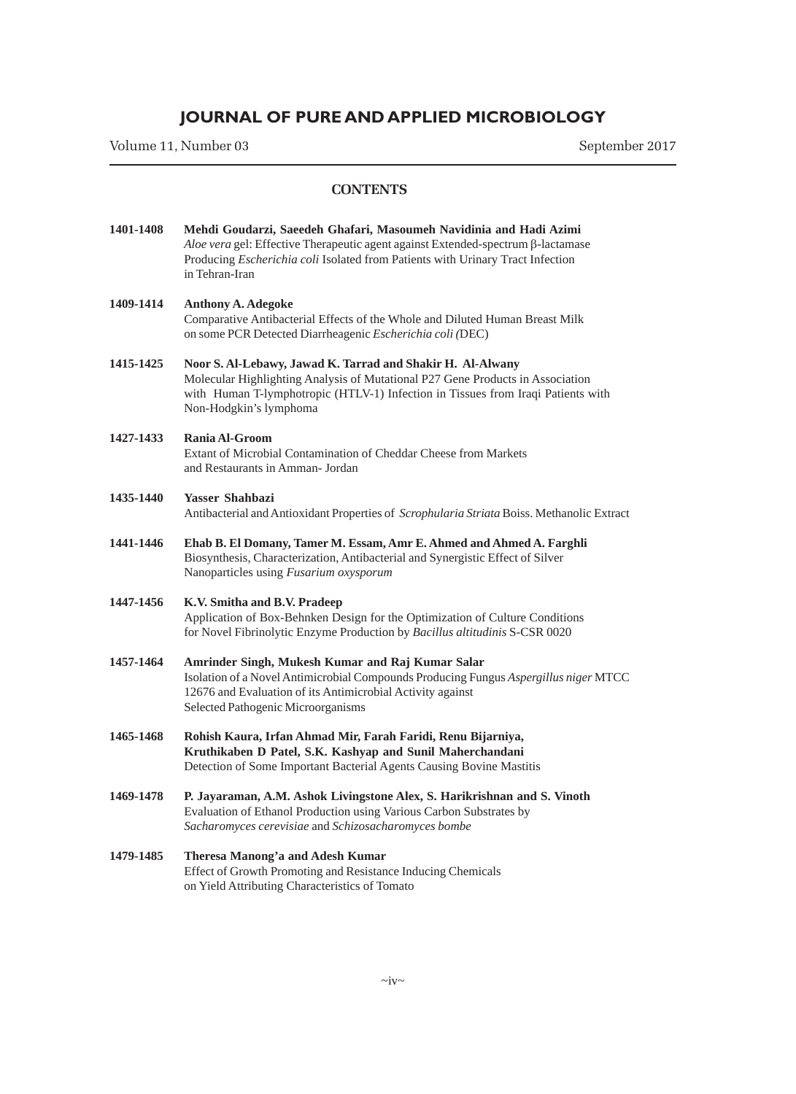Volume 11, Number 03 September 2017

#### **CONTENTS**

**1401-1408 Mehdi Goudarzi, Saeedeh Ghafari, Masoumeh Navidinia and Hadi Azimi** *Aloe vera* gel: Effective Therapeutic agent against Extended-spectrum β-lactamase Producing *Escherichia coli* Isolated from Patients with Urinary Tract Infection in Tehran-Iran **1409-1414 Anthony A. Adegoke** Comparative Antibacterial Effects of the Whole and Diluted Human Breast Milk on some PCR Detected Diarrheagenic *Escherichia coli (*DEC) **1415-1425 Noor S. Al-Lebawy, Jawad K. Tarrad and Shakir H. Al-Alwany** Molecular Highlighting Analysis of Mutational P27 Gene Products in Association with Human T-lymphotropic (HTLV-1) Infection in Tissues from Iraqi Patients with Non-Hodgkin's lymphoma **1427-1433 Rania Al-Groom** Extant of Microbial Contamination of Cheddar Cheese from Markets and Restaurants in Amman- Jordan **1435-1440 Yasser Shahbazi** Antibacterial and Antioxidant Properties of *Scrophularia Striata* Boiss. Methanolic Extract **1441-1446 Ehab B. El Domany, Tamer M. Essam, Amr E. Ahmed and Ahmed A. Farghli** Biosynthesis, Characterization, Antibacterial and Synergistic Effect of Silver Nanoparticles using *Fusarium oxysporum* **1447-1456 K.V. Smitha and B.V. Pradeep** Application of Box-Behnken Design for the Optimization of Culture Conditions for Novel Fibrinolytic Enzyme Production by *Bacillus altitudinis* S-CSR 0020 **1457-1464 Amrinder Singh, Mukesh Kumar and Raj Kumar Salar** Isolation of a Novel Antimicrobial Compounds Producing Fungus *Aspergillus niger* MTCC 12676 and Evaluation of its Antimicrobial Activity against Selected Pathogenic Microorganisms **1465-1468 Rohish Kaura, Irfan Ahmad Mir, Farah Faridi, Renu Bijarniya, Kruthikaben D Patel, S.K. Kashyap and Sunil Maherchandani** Detection of Some Important Bacterial Agents Causing Bovine Mastitis **1469-1478 P. Jayaraman, A.M. Ashok Livingstone Alex, S. Harikrishnan and S. Vinoth** Evaluation of Ethanol Production using Various Carbon Substrates by *Sacharomyces cerevisiae* and *Schizosacharomyces bombe* **1479-1485 Theresa Manong'a and Adesh Kumar** Effect of Growth Promoting and Resistance Inducing Chemicals

on Yield Attributing Characteristics of Tomato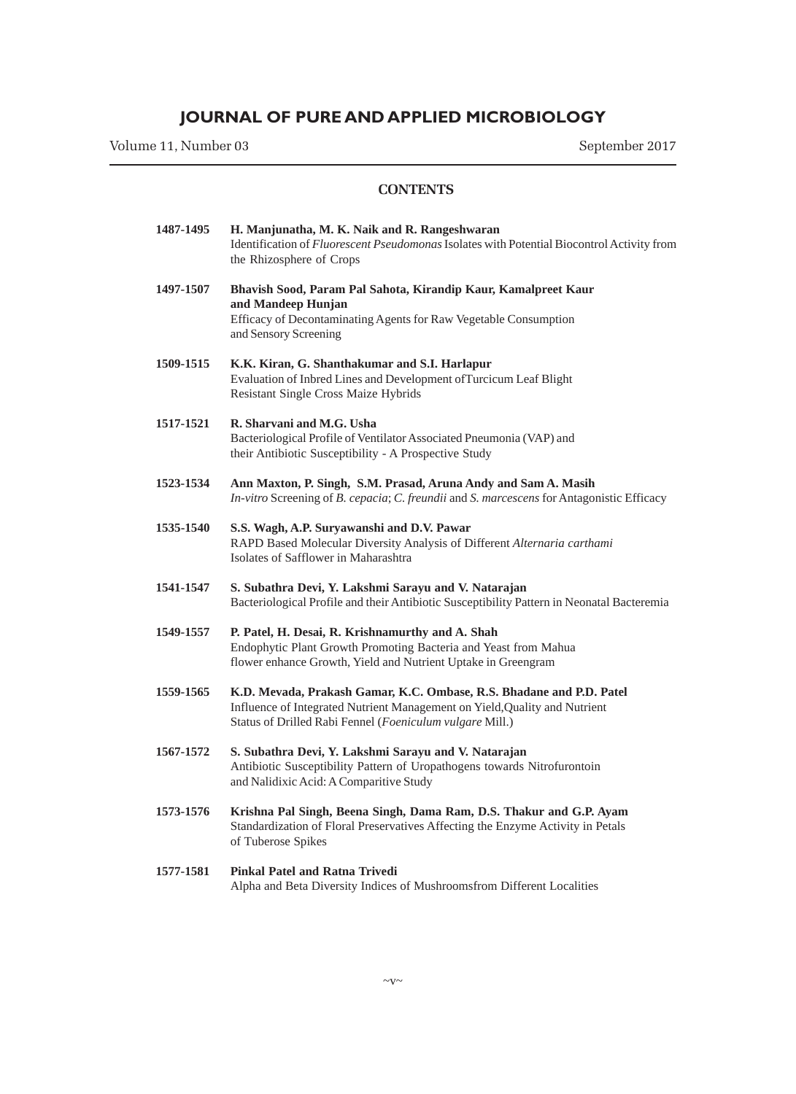Volume 11, Number 03 September 2017

| 1487-1495 | H. Manjunatha, M. K. Naik and R. Rangeshwaran<br>Identification of <i>Fluorescent Pseudomonas</i> Isolates with Potential Biocontrol Activity from<br>the Rhizosphere of Crops                                 |
|-----------|----------------------------------------------------------------------------------------------------------------------------------------------------------------------------------------------------------------|
| 1497-1507 | Bhavish Sood, Param Pal Sahota, Kirandip Kaur, Kamalpreet Kaur<br>and Mandeep Hunjan<br>Efficacy of Decontaminating Agents for Raw Vegetable Consumption<br>and Sensory Screening                              |
| 1509-1515 | K.K. Kiran, G. Shanthakumar and S.I. Harlapur<br>Evaluation of Inbred Lines and Development of Turcicum Leaf Blight<br>Resistant Single Cross Maize Hybrids                                                    |
| 1517-1521 | R. Sharvani and M.G. Usha<br>Bacteriological Profile of Ventilator Associated Pneumonia (VAP) and<br>their Antibiotic Susceptibility - A Prospective Study                                                     |
| 1523-1534 | Ann Maxton, P. Singh, S.M. Prasad, Aruna Andy and Sam A. Masih<br>In-vitro Screening of B. cepacia; C. freundii and S. marcescens for Antagonistic Efficacy                                                    |
| 1535-1540 | S.S. Wagh, A.P. Suryawanshi and D.V. Pawar<br>RAPD Based Molecular Diversity Analysis of Different Alternaria carthami<br>Isolates of Safflower in Maharashtra                                                 |
| 1541-1547 | S. Subathra Devi, Y. Lakshmi Sarayu and V. Natarajan<br>Bacteriological Profile and their Antibiotic Susceptibility Pattern in Neonatal Bacteremia                                                             |
| 1549-1557 | P. Patel, H. Desai, R. Krishnamurthy and A. Shah<br>Endophytic Plant Growth Promoting Bacteria and Yeast from Mahua<br>flower enhance Growth, Yield and Nutrient Uptake in Greengram                           |
| 1559-1565 | K.D. Mevada, Prakash Gamar, K.C. Ombase, R.S. Bhadane and P.D. Patel<br>Influence of Integrated Nutrient Management on Yield, Quality and Nutrient<br>Status of Drilled Rabi Fennel (Foeniculum vulgare Mill.) |
| 1567-1572 | S. Subathra Devi, Y. Lakshmi Sarayu and V. Natarajan<br>Antibiotic Susceptibility Pattern of Uropathogens towards Nitrofurontoin<br>and Nalidixic Acid: A Comparitive Study                                    |
| 1573-1576 | Krishna Pal Singh, Beena Singh, Dama Ram, D.S. Thakur and G.P. Ayam<br>Standardization of Floral Preservatives Affecting the Enzyme Activity in Petals<br>of Tuberose Spikes                                   |
| 1577-1581 | Pinkal Patel and Ratna Trivedi<br>Alpha and Beta Diversity Indices of Mushroomsfrom Different Localities                                                                                                       |